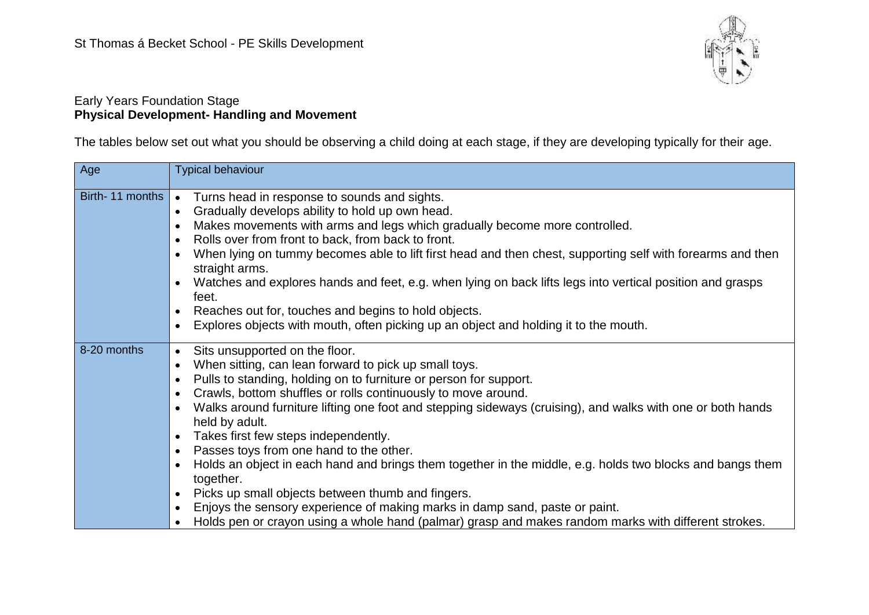

#### Early Years Foundation Stage **Physical Development- Handling and Movement**

The tables below set out what you should be observing a child doing at each stage, if they are developing typically for their age.

| Age             | <b>Typical behaviour</b>                                                                                                                                                                                                                                                                                                                                                                                                                                                                                                                                                                                                                                                                                                                                                                                                                                                                             |
|-----------------|------------------------------------------------------------------------------------------------------------------------------------------------------------------------------------------------------------------------------------------------------------------------------------------------------------------------------------------------------------------------------------------------------------------------------------------------------------------------------------------------------------------------------------------------------------------------------------------------------------------------------------------------------------------------------------------------------------------------------------------------------------------------------------------------------------------------------------------------------------------------------------------------------|
| Birth-11 months | Turns head in response to sounds and sights.<br>$\bullet$<br>Gradually develops ability to hold up own head.<br>$\bullet$<br>Makes movements with arms and legs which gradually become more controlled.<br>Rolls over from front to back, from back to front.<br>When lying on tummy becomes able to lift first head and then chest, supporting self with forearms and then<br>$\bullet$<br>straight arms.<br>Watches and explores hands and feet, e.g. when lying on back lifts legs into vertical position and grasps<br>feet.<br>Reaches out for, touches and begins to hold objects.<br>Explores objects with mouth, often picking up an object and holding it to the mouth.<br>$\bullet$                                                                                                                                                                                                        |
| 8-20 months     | Sits unsupported on the floor.<br>$\bullet$<br>When sitting, can lean forward to pick up small toys.<br>$\bullet$<br>Pulls to standing, holding on to furniture or person for support.<br>Crawls, bottom shuffles or rolls continuously to move around.<br>Walks around furniture lifting one foot and stepping sideways (cruising), and walks with one or both hands<br>held by adult.<br>Takes first few steps independently.<br>$\bullet$<br>Passes toys from one hand to the other.<br>$\bullet$<br>Holds an object in each hand and brings them together in the middle, e.g. holds two blocks and bangs them<br>together.<br>Picks up small objects between thumb and fingers.<br>$\bullet$<br>Enjoys the sensory experience of making marks in damp sand, paste or paint.<br>$\bullet$<br>Holds pen or crayon using a whole hand (palmar) grasp and makes random marks with different strokes. |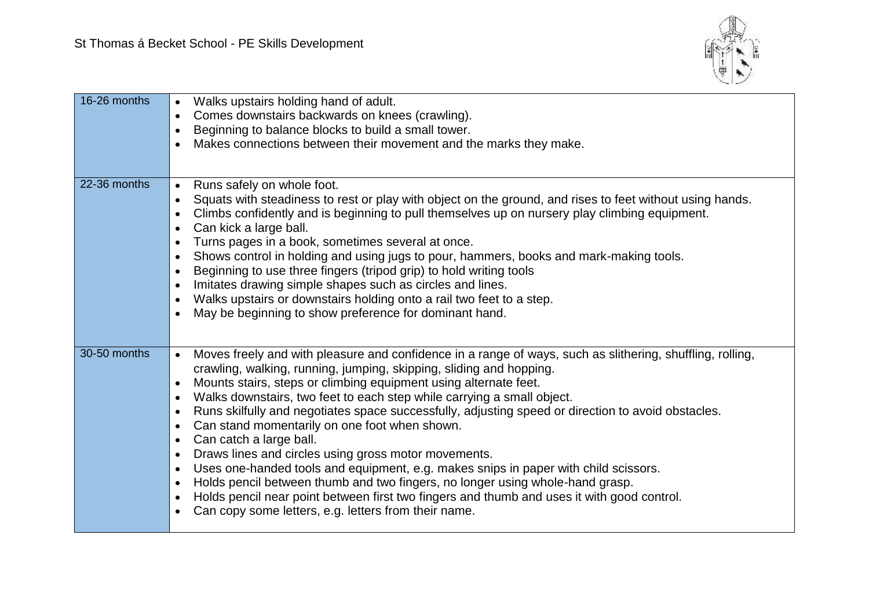

| 16-26 months | Walks upstairs holding hand of adult.<br>$\bullet$<br>Comes downstairs backwards on knees (crawling).<br>$\bullet$<br>Beginning to balance blocks to build a small tower.<br>$\bullet$<br>Makes connections between their movement and the marks they make.                                                                                                                                                                                                                                                                                                                                                                                                                                                                                                                                                                                                                                                                                                                                                                              |
|--------------|------------------------------------------------------------------------------------------------------------------------------------------------------------------------------------------------------------------------------------------------------------------------------------------------------------------------------------------------------------------------------------------------------------------------------------------------------------------------------------------------------------------------------------------------------------------------------------------------------------------------------------------------------------------------------------------------------------------------------------------------------------------------------------------------------------------------------------------------------------------------------------------------------------------------------------------------------------------------------------------------------------------------------------------|
| 22-36 months | Runs safely on whole foot.<br>$\bullet$<br>Squats with steadiness to rest or play with object on the ground, and rises to feet without using hands.<br>$\bullet$<br>Climbs confidently and is beginning to pull themselves up on nursery play climbing equipment.<br>Can kick a large ball.<br>٠<br>Turns pages in a book, sometimes several at once.<br>$\bullet$<br>Shows control in holding and using jugs to pour, hammers, books and mark-making tools.<br>$\bullet$<br>Beginning to use three fingers (tripod grip) to hold writing tools<br>$\bullet$<br>Imitates drawing simple shapes such as circles and lines.<br>$\bullet$<br>Walks upstairs or downstairs holding onto a rail two feet to a step.<br>٠<br>May be beginning to show preference for dominant hand.                                                                                                                                                                                                                                                            |
| 30-50 months | Moves freely and with pleasure and confidence in a range of ways, such as slithering, shuffling, rolling,<br>$\bullet$<br>crawling, walking, running, jumping, skipping, sliding and hopping.<br>Mounts stairs, steps or climbing equipment using alternate feet.<br>$\bullet$<br>Walks downstairs, two feet to each step while carrying a small object.<br>$\bullet$<br>Runs skilfully and negotiates space successfully, adjusting speed or direction to avoid obstacles.<br>$\bullet$<br>Can stand momentarily on one foot when shown.<br>$\bullet$<br>Can catch a large ball.<br>$\bullet$<br>Draws lines and circles using gross motor movements.<br>$\bullet$<br>Uses one-handed tools and equipment, e.g. makes snips in paper with child scissors.<br>$\bullet$<br>Holds pencil between thumb and two fingers, no longer using whole-hand grasp.<br>$\bullet$<br>Holds pencil near point between first two fingers and thumb and uses it with good control.<br>$\bullet$<br>Can copy some letters, e.g. letters from their name. |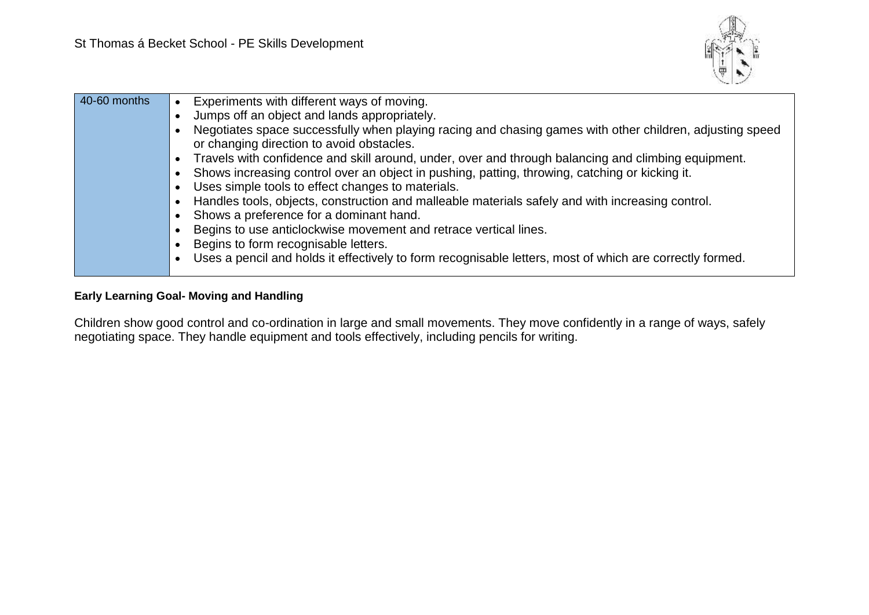

| 40-60 months | Experiments with different ways of moving.                                                               |
|--------------|----------------------------------------------------------------------------------------------------------|
|              | Jumps off an object and lands appropriately.                                                             |
|              | Negotiates space successfully when playing racing and chasing games with other children, adjusting speed |
|              | or changing direction to avoid obstacles.                                                                |
|              | Travels with confidence and skill around, under, over and through balancing and climbing equipment.      |
|              | Shows increasing control over an object in pushing, patting, throwing, catching or kicking it.           |
|              | Uses simple tools to effect changes to materials.                                                        |
|              | Handles tools, objects, construction and malleable materials safely and with increasing control.         |
|              | Shows a preference for a dominant hand.                                                                  |
|              | Begins to use anticlockwise movement and retrace vertical lines.                                         |
|              | Begins to form recognisable letters.                                                                     |
|              | Uses a pencil and holds it effectively to form recognisable letters, most of which are correctly formed. |
|              |                                                                                                          |

### **Early Learning Goal- Moving and Handling**

Children show good control and co-ordination in large and small movements. They move confidently in a range of ways, safely negotiating space. They handle equipment and tools effectively, including pencils for writing.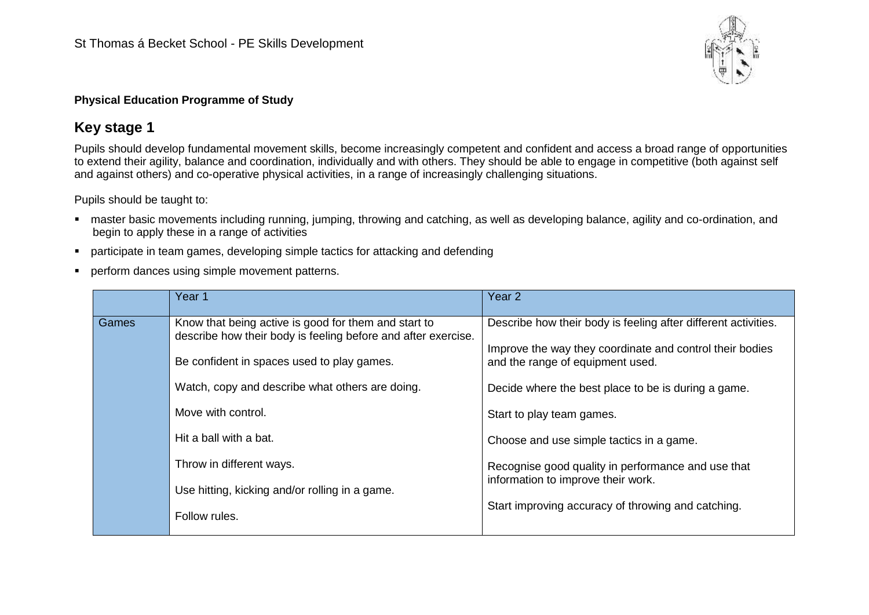

### **Physical Education Programme of Study**

## **Key stage 1**

Pupils should develop fundamental movement skills, become increasingly competent and confident and access a broad range of opportunities to extend their agility, balance and coordination, individually and with others. They should be able to engage in competitive (both against self and against others) and co-operative physical activities, in a range of increasingly challenging situations.

Pupils should be taught to:

- master basic movements including running, jumping, throwing and catching, as well as developing balance, agility and co-ordination, and begin to apply these in a range of activities
- participate in team games, developing simple tactics for attacking and defending
- **•** perform dances using simple movement patterns.

|       | Year 1                                                                                                                                                                                                                                                                                             | Year <sub>2</sub>                                                                                                                                                                                                                                                                                                                                    |
|-------|----------------------------------------------------------------------------------------------------------------------------------------------------------------------------------------------------------------------------------------------------------------------------------------------------|------------------------------------------------------------------------------------------------------------------------------------------------------------------------------------------------------------------------------------------------------------------------------------------------------------------------------------------------------|
| Games | Know that being active is good for them and start to<br>describe how their body is feeling before and after exercise.<br>Be confident in spaces used to play games.<br>Watch, copy and describe what others are doing.<br>Move with control.<br>Hit a ball with a bat.<br>Throw in different ways. | Describe how their body is feeling after different activities.<br>Improve the way they coordinate and control their bodies<br>and the range of equipment used.<br>Decide where the best place to be is during a game.<br>Start to play team games.<br>Choose and use simple tactics in a game.<br>Recognise good quality in performance and use that |
|       | Use hitting, kicking and/or rolling in a game.<br>Follow rules.                                                                                                                                                                                                                                    | information to improve their work.<br>Start improving accuracy of throwing and catching.                                                                                                                                                                                                                                                             |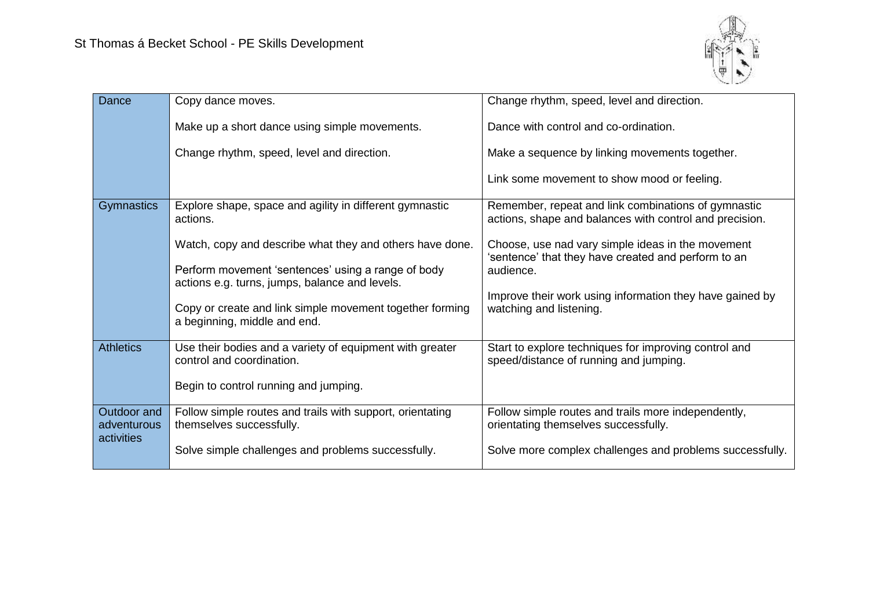

| Dance                                    | Copy dance moves.                                                                                                                          | Change rhythm, speed, level and direction.                                                                            |
|------------------------------------------|--------------------------------------------------------------------------------------------------------------------------------------------|-----------------------------------------------------------------------------------------------------------------------|
|                                          | Make up a short dance using simple movements.                                                                                              | Dance with control and co-ordination.                                                                                 |
|                                          | Change rhythm, speed, level and direction.                                                                                                 | Make a sequence by linking movements together.                                                                        |
|                                          |                                                                                                                                            | Link some movement to show mood or feeling.                                                                           |
| Gymnastics                               | Explore shape, space and agility in different gymnastic<br>actions.                                                                        | Remember, repeat and link combinations of gymnastic<br>actions, shape and balances with control and precision.        |
|                                          | Watch, copy and describe what they and others have done.<br>Perform movement 'sentences' using a range of body                             | Choose, use nad vary simple ideas in the movement<br>'sentence' that they have created and perform to an<br>audience. |
|                                          | actions e.g. turns, jumps, balance and levels.<br>Copy or create and link simple movement together forming<br>a beginning, middle and end. | Improve their work using information they have gained by<br>watching and listening.                                   |
| <b>Athletics</b>                         | Use their bodies and a variety of equipment with greater<br>control and coordination.                                                      | Start to explore techniques for improving control and<br>speed/distance of running and jumping.                       |
|                                          | Begin to control running and jumping.                                                                                                      |                                                                                                                       |
| Outdoor and<br>adventurous<br>activities | Follow simple routes and trails with support, orientating<br>themselves successfully.                                                      | Follow simple routes and trails more independently,<br>orientating themselves successfully.                           |
|                                          | Solve simple challenges and problems successfully.                                                                                         | Solve more complex challenges and problems successfully.                                                              |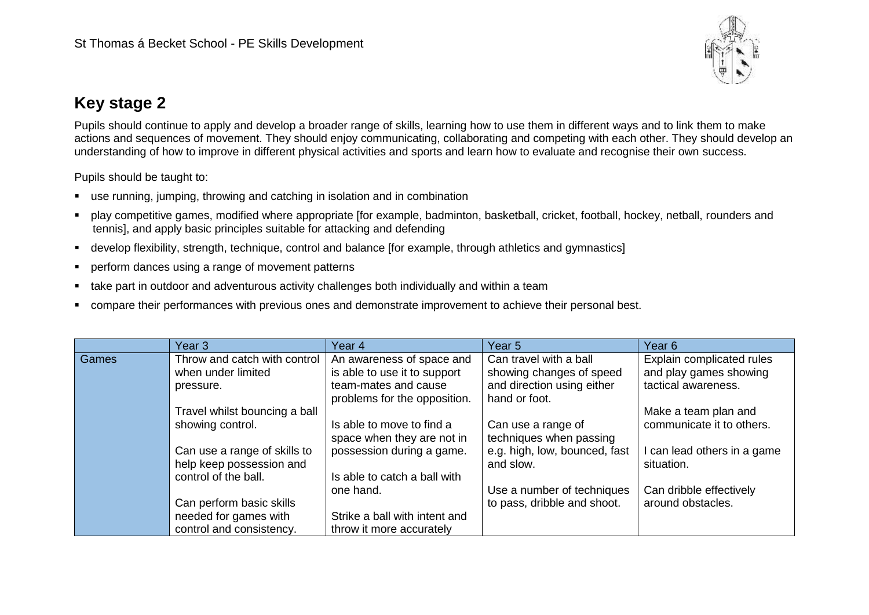

# **Key stage 2**

Pupils should continue to apply and develop a broader range of skills, learning how to use them in different ways and to link them to make actions and sequences of movement. They should enjoy communicating, collaborating and competing with each other. They should develop an understanding of how to improve in different physical activities and sports and learn how to evaluate and recognise their own success.

Pupils should be taught to:

- use running, jumping, throwing and catching in isolation and in combination
- play competitive games, modified where appropriate [for example, badminton, basketball, cricket, football, hockey, netball, rounders and tennis], and apply basic principles suitable for attacking and defending
- develop flexibility, strength, technique, control and balance [for example, through athletics and gymnastics]
- **•** perform dances using a range of movement patterns
- take part in outdoor and adventurous activity challenges both individually and within a team
- compare their performances with previous ones and demonstrate improvement to achieve their personal best.

|       | Year 3                        | Year 4                        | Year 5                        | Year <sub>6</sub>           |
|-------|-------------------------------|-------------------------------|-------------------------------|-----------------------------|
| Games | Throw and catch with control  | An awareness of space and     | Can travel with a ball        | Explain complicated rules   |
|       | when under limited            | is able to use it to support  | showing changes of speed      | and play games showing      |
|       | pressure.                     | team-mates and cause          | and direction using either    | tactical awareness.         |
|       |                               | problems for the opposition.  | hand or foot.                 |                             |
|       | Travel whilst bouncing a ball |                               |                               | Make a team plan and        |
|       | showing control.              | Is able to move to find a     | Can use a range of            | communicate it to others.   |
|       |                               | space when they are not in    | techniques when passing       |                             |
|       | Can use a range of skills to  | possession during a game.     | e.g. high, low, bounced, fast | I can lead others in a game |
|       | help keep possession and      |                               | and slow.                     | situation.                  |
|       | control of the ball.          | Is able to catch a ball with  |                               |                             |
|       |                               | one hand.                     | Use a number of techniques    | Can dribble effectively     |
|       | Can perform basic skills      |                               | to pass, dribble and shoot.   | around obstacles.           |
|       | needed for games with         | Strike a ball with intent and |                               |                             |
|       | control and consistency.      | throw it more accurately      |                               |                             |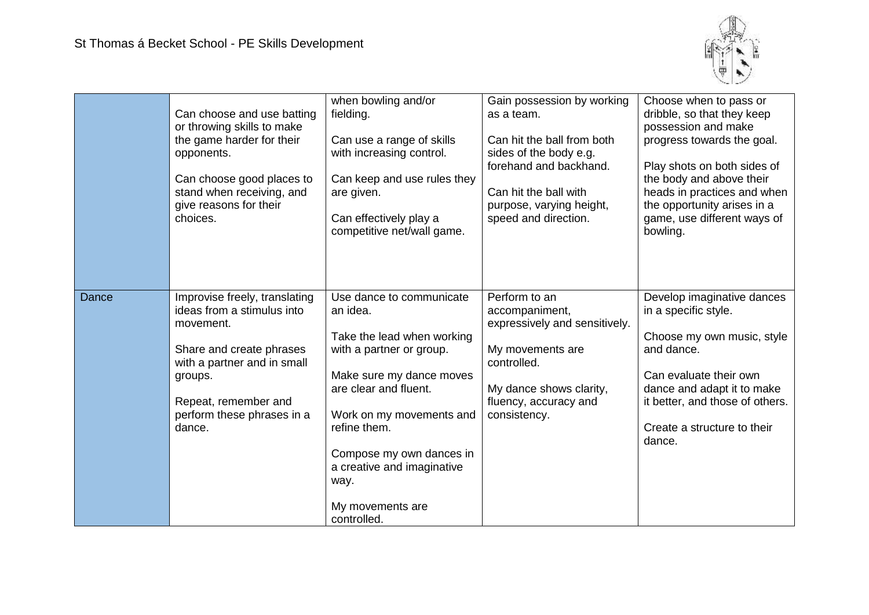

|              | Can choose and use batting<br>or throwing skills to make<br>the game harder for their<br>opponents.<br>Can choose good places to<br>stand when receiving, and<br>give reasons for their<br>choices.            | when bowling and/or<br>fielding.<br>Can use a range of skills<br>with increasing control.<br>Can keep and use rules they<br>are given.<br>Can effectively play a<br>competitive net/wall game.                                                                                                       | Gain possession by working<br>as a team.<br>Can hit the ball from both<br>sides of the body e.g.<br>forehand and backhand.<br>Can hit the ball with<br>purpose, varying height,<br>speed and direction. | Choose when to pass or<br>dribble, so that they keep<br>possession and make<br>progress towards the goal.<br>Play shots on both sides of<br>the body and above their<br>heads in practices and when<br>the opportunity arises in a<br>game, use different ways of<br>bowling. |
|--------------|----------------------------------------------------------------------------------------------------------------------------------------------------------------------------------------------------------------|------------------------------------------------------------------------------------------------------------------------------------------------------------------------------------------------------------------------------------------------------------------------------------------------------|---------------------------------------------------------------------------------------------------------------------------------------------------------------------------------------------------------|-------------------------------------------------------------------------------------------------------------------------------------------------------------------------------------------------------------------------------------------------------------------------------|
| <b>Dance</b> | Improvise freely, translating<br>ideas from a stimulus into<br>movement.<br>Share and create phrases<br>with a partner and in small<br>groups.<br>Repeat, remember and<br>perform these phrases in a<br>dance. | Use dance to communicate<br>an idea.<br>Take the lead when working<br>with a partner or group.<br>Make sure my dance moves<br>are clear and fluent.<br>Work on my movements and<br>refine them.<br>Compose my own dances in<br>a creative and imaginative<br>way.<br>My movements are<br>controlled. | Perform to an<br>accompaniment,<br>expressively and sensitively.<br>My movements are<br>controlled.<br>My dance shows clarity,<br>fluency, accuracy and<br>consistency.                                 | Develop imaginative dances<br>in a specific style.<br>Choose my own music, style<br>and dance.<br>Can evaluate their own<br>dance and adapt it to make<br>it better, and those of others.<br>Create a structure to their<br>dance.                                            |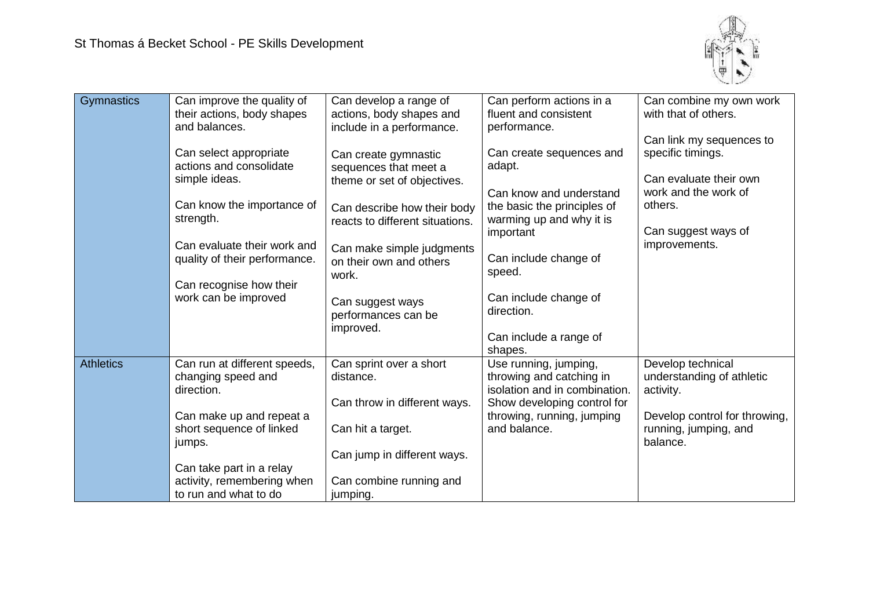

| Gymnastics       | Can improve the quality of<br>their actions, body shapes<br>and balances. | Can develop a range of<br>actions, body shapes and<br>include in a performance. | Can perform actions in a<br>fluent and consistent<br>performance.                                                 | Can combine my own work<br>with that of others.<br>Can link my sequences to |
|------------------|---------------------------------------------------------------------------|---------------------------------------------------------------------------------|-------------------------------------------------------------------------------------------------------------------|-----------------------------------------------------------------------------|
|                  | Can select appropriate<br>actions and consolidate<br>simple ideas.        | Can create gymnastic<br>sequences that meet a<br>theme or set of objectives.    | Can create sequences and<br>adapt.<br>Can know and understand                                                     | specific timings.<br>Can evaluate their own<br>work and the work of         |
|                  | Can know the importance of<br>strength.                                   | Can describe how their body<br>reacts to different situations.                  | the basic the principles of<br>warming up and why it is<br>important                                              | others.<br>Can suggest ways of                                              |
|                  | Can evaluate their work and<br>quality of their performance.              | Can make simple judgments<br>on their own and others<br>work.                   | Can include change of<br>speed.                                                                                   | improvements.                                                               |
|                  | Can recognise how their<br>work can be improved                           | Can suggest ways<br>performances can be<br>improved.                            | Can include change of<br>direction.<br>Can include a range of                                                     |                                                                             |
|                  |                                                                           |                                                                                 | shapes.                                                                                                           |                                                                             |
| <b>Athletics</b> | Can run at different speeds,<br>changing speed and<br>direction.          | Can sprint over a short<br>distance.<br>Can throw in different ways.            | Use running, jumping,<br>throwing and catching in<br>isolation and in combination.<br>Show developing control for | Develop technical<br>understanding of athletic<br>activity.                 |
|                  | Can make up and repeat a<br>short sequence of linked<br>jumps.            | Can hit a target.                                                               | throwing, running, jumping<br>and balance.                                                                        | Develop control for throwing,<br>running, jumping, and<br>balance.          |
|                  |                                                                           | Can jump in different ways.                                                     |                                                                                                                   |                                                                             |
|                  | Can take part in a relay                                                  |                                                                                 |                                                                                                                   |                                                                             |
|                  | activity, remembering when<br>to run and what to do                       | Can combine running and<br>jumping.                                             |                                                                                                                   |                                                                             |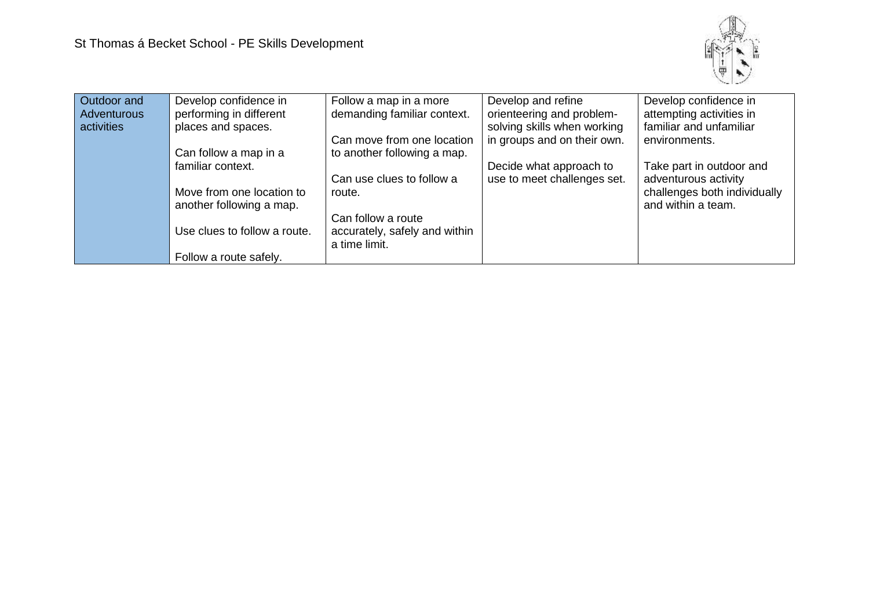

| Outdoor and        | Develop confidence in        | Follow a map in a more        | Develop and refine          | Develop confidence in        |
|--------------------|------------------------------|-------------------------------|-----------------------------|------------------------------|
| <b>Adventurous</b> | performing in different      | demanding familiar context.   | orienteering and problem-   | attempting activities in     |
| activities         | places and spaces.           |                               | solving skills when working | familiar and unfamiliar      |
|                    |                              | Can move from one location    | in groups and on their own. | environments.                |
|                    | Can follow a map in a        | to another following a map.   |                             |                              |
|                    | familiar context.            |                               | Decide what approach to     | Take part in outdoor and     |
|                    |                              | Can use clues to follow a     | use to meet challenges set. | adventurous activity         |
|                    | Move from one location to    | route.                        |                             | challenges both individually |
|                    | another following a map.     |                               |                             | and within a team.           |
|                    |                              | Can follow a route            |                             |                              |
|                    | Use clues to follow a route. | accurately, safely and within |                             |                              |
|                    |                              | a time limit.                 |                             |                              |
|                    | Follow a route safely.       |                               |                             |                              |